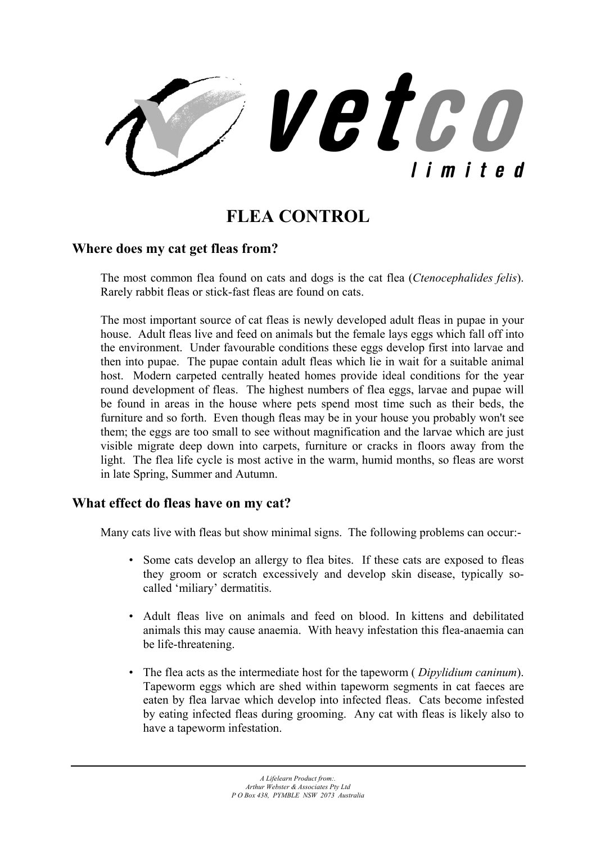vetco limited

# **FLEA CONTROL**

## **Where does my cat get fleas from?**

The most common flea found on cats and dogs is the cat flea (*Ctenocephalides felis*). Rarely rabbit fleas or stick-fast fleas are found on cats.

The most important source of cat fleas is newly developed adult fleas in pupae in your house. Adult fleas live and feed on animals but the female lays eggs which fall off into the environment. Under favourable conditions these eggs develop first into larvae and then into pupae. The pupae contain adult fleas which lie in wait for a suitable animal host. Modern carpeted centrally heated homes provide ideal conditions for the year round development of fleas. The highest numbers of flea eggs, larvae and pupae will be found in areas in the house where pets spend most time such as their beds, the furniture and so forth. Even though fleas may be in your house you probably won't see them; the eggs are too small to see without magnification and the larvae which are just visible migrate deep down into carpets, furniture or cracks in floors away from the light. The flea life cycle is most active in the warm, humid months, so fleas are worst in late Spring, Summer and Autumn.

## **What effect do fleas have on my cat?**

Many cats live with fleas but show minimal signs. The following problems can occur:-

- Some cats develop an allergy to flea bites. If these cats are exposed to fleas they groom or scratch excessively and develop skin disease, typically socalled 'miliary' dermatitis.
- Adult fleas live on animals and feed on blood. In kittens and debilitated animals this may cause anaemia. With heavy infestation this flea-anaemia can be life-threatening.
- The flea acts as the intermediate host for the tapeworm ( *Dipylidium caninum*). Tapeworm eggs which are shed within tapeworm segments in cat faeces are eaten by flea larvae which develop into infected fleas. Cats become infested by eating infected fleas during grooming. Any cat with fleas is likely also to have a tapeworm infestation.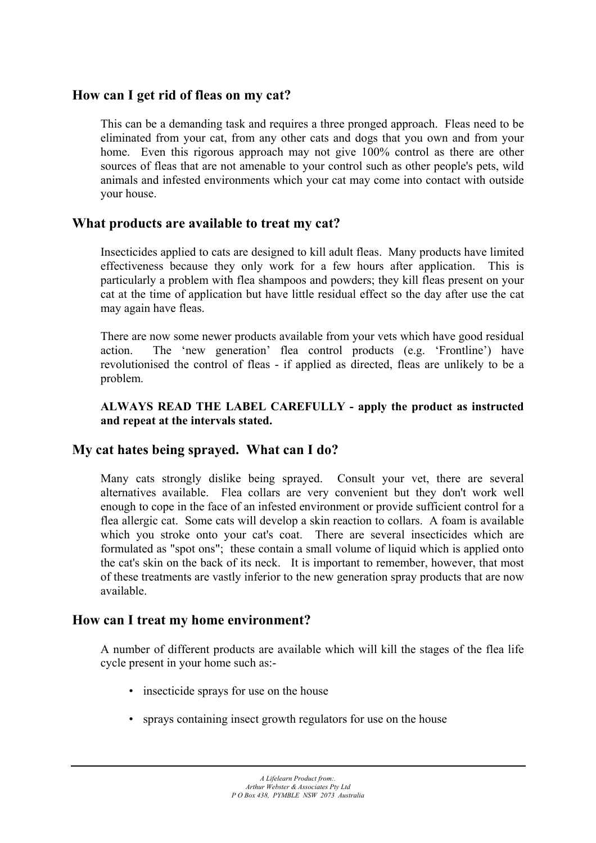# **How can I get rid of fleas on my cat?**

This can be a demanding task and requires a three pronged approach. Fleas need to be eliminated from your cat, from any other cats and dogs that you own and from your home. Even this rigorous approach may not give 100% control as there are other sources of fleas that are not amenable to your control such as other people's pets, wild animals and infested environments which your cat may come into contact with outside your house.

# **What products are available to treat my cat?**

Insecticides applied to cats are designed to kill adult fleas. Many products have limited effectiveness because they only work for a few hours after application. This is particularly a problem with flea shampoos and powders; they kill fleas present on your cat at the time of application but have little residual effect so the day after use the cat may again have fleas.

There are now some newer products available from your vets which have good residual action. The 'new generation' flea control products (e.g. 'Frontline') have revolutionised the control of fleas - if applied as directed, fleas are unlikely to be a problem.

#### **ALWAYS READ THE LABEL CAREFULLY - apply the product as instructed and repeat at the intervals stated.**

# **My cat hates being sprayed. What can I do?**

Many cats strongly dislike being sprayed. Consult your vet, there are several alternatives available. Flea collars are very convenient but they don't work well enough to cope in the face of an infested environment or provide sufficient control for a flea allergic cat. Some cats will develop a skin reaction to collars. A foam is available which you stroke onto your cat's coat. There are several insecticides which are formulated as "spot ons"; these contain a small volume of liquid which is applied onto the cat's skin on the back of its neck. It is important to remember, however, that most of these treatments are vastly inferior to the new generation spray products that are now available.

## **How can I treat my home environment?**

A number of different products are available which will kill the stages of the flea life cycle present in your home such as:-

- insecticide sprays for use on the house
- sprays containing insect growth regulators for use on the house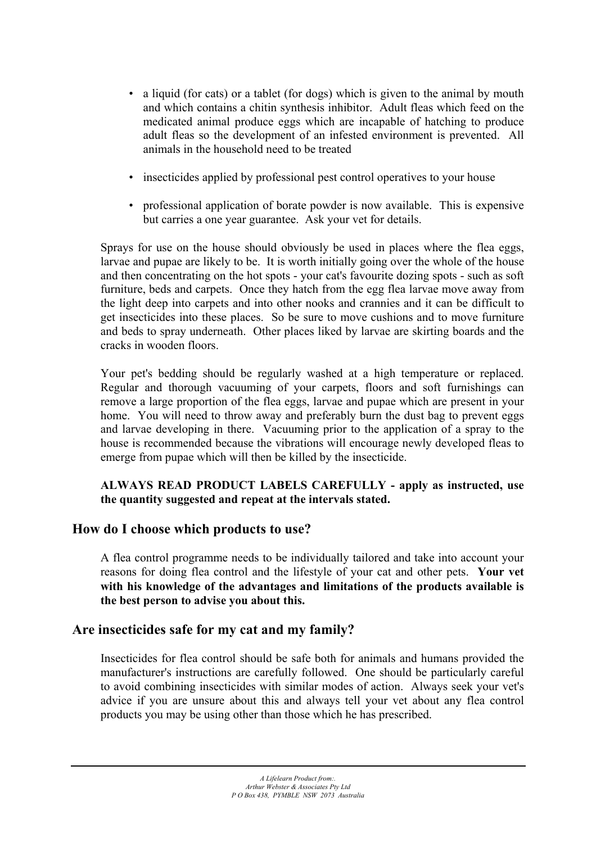- a liquid (for cats) or a tablet (for dogs) which is given to the animal by mouth and which contains a chitin synthesis inhibitor. Adult fleas which feed on the medicated animal produce eggs which are incapable of hatching to produce adult fleas so the development of an infested environment is prevented. All animals in the household need to be treated
- insecticides applied by professional pest control operatives to your house
- professional application of borate powder is now available. This is expensive but carries a one year guarantee. Ask your vet for details.

Sprays for use on the house should obviously be used in places where the flea eggs, larvae and pupae are likely to be. It is worth initially going over the whole of the house and then concentrating on the hot spots - your cat's favourite dozing spots - such as soft furniture, beds and carpets. Once they hatch from the egg flea larvae move away from the light deep into carpets and into other nooks and crannies and it can be difficult to get insecticides into these places. So be sure to move cushions and to move furniture and beds to spray underneath. Other places liked by larvae are skirting boards and the cracks in wooden floors.

Your pet's bedding should be regularly washed at a high temperature or replaced. Regular and thorough vacuuming of your carpets, floors and soft furnishings can remove a large proportion of the flea eggs, larvae and pupae which are present in your home. You will need to throw away and preferably burn the dust bag to prevent eggs and larvae developing in there. Vacuuming prior to the application of a spray to the house is recommended because the vibrations will encourage newly developed fleas to emerge from pupae which will then be killed by the insecticide.

#### **ALWAYS READ PRODUCT LABELS CAREFULLY - apply as instructed, use the quantity suggested and repeat at the intervals stated.**

## **How do I choose which products to use?**

A flea control programme needs to be individually tailored and take into account your reasons for doing flea control and the lifestyle of your cat and other pets. **Your vet with his knowledge of the advantages and limitations of the products available is the best person to advise you about this.** 

## **Are insecticides safe for my cat and my family?**

Insecticides for flea control should be safe both for animals and humans provided the manufacturer's instructions are carefully followed. One should be particularly careful to avoid combining insecticides with similar modes of action. Always seek your vet's advice if you are unsure about this and always tell your vet about any flea control products you may be using other than those which he has prescribed.